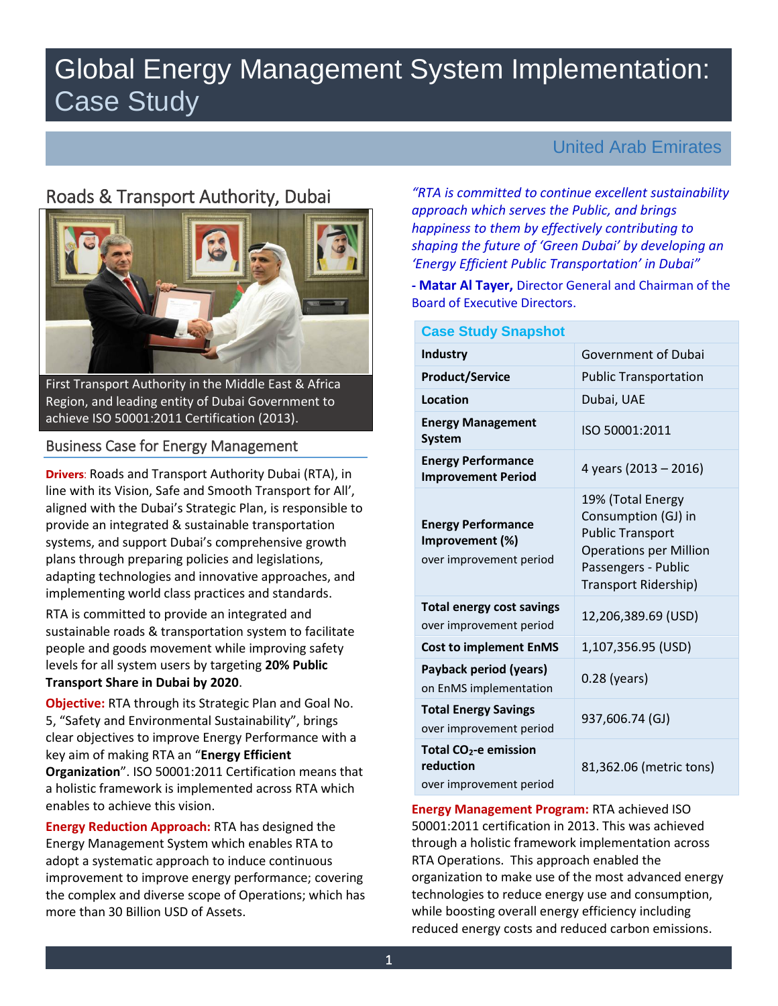# Global Energy Management System Implementation: Case Study

# Roads & Transport Authority, Dubai



First Transport Authority in the Middle East & Africa Region, and leading entity of Dubai Government to achieve ISO 50001:2011 Certification (2013).

## Business Case for Energy Management

**Drivers**: Roads and Transport Authority Dubai (RTA), in line with its Vision, Safe and Smooth Transport for All', aligned with the Dubai's Strategic Plan, is responsible to provide an integrated & sustainable transportation systems, and support Dubai's comprehensive growth plans through preparing policies and legislations, adapting technologies and innovative approaches, and implementing world class practices and standards.

RTA is committed to provide an integrated and sustainable roads & transportation system to facilitate people and goods movement while improving safety levels for all system users by targeting **20% Public Transport Share in Dubai by 2020**.

**Objective:** RTA through its Strategic Plan and Goal No. 5, "Safety and Environmental Sustainability", brings clear objectives to improve Energy Performance with a key aim of making RTA an "**Energy Efficient Organization**". ISO 50001:2011 Certification means that a holistic framework is implemented across RTA which enables to achieve this vision.

**Energy Reduction Approach:** RTA has designed the Energy Management System which enables RTA to adopt a systematic approach to induce continuous improvement to improve energy performance; covering the complex and diverse scope of Operations; which has more than 30 Billion USD of Assets.

## United Arab Emirates

*"RTA is committed to continue excellent sustainability approach which serves the Public, and brings happiness to them by effectively contributing to shaping the future of 'Green Dubai' by developing an 'Energy Efficient Public Transportation' in Dubai"*

**- Matar Al Tayer,** Director General and Chairman of the Board of Executive Directors.

| <b>Case Study Snapshot</b>                                              |                                                                                                                                                     |  |  |  |
|-------------------------------------------------------------------------|-----------------------------------------------------------------------------------------------------------------------------------------------------|--|--|--|
| <b>Industry</b>                                                         | <b>Government of Dubai</b>                                                                                                                          |  |  |  |
| <b>Product/Service</b>                                                  | <b>Public Transportation</b>                                                                                                                        |  |  |  |
| Location                                                                | Dubai, UAE                                                                                                                                          |  |  |  |
| <b>Energy Management</b><br><b>System</b>                               | ISO 50001:2011                                                                                                                                      |  |  |  |
| <b>Energy Performance</b><br><b>Improvement Period</b>                  | 4 years (2013 - 2016)                                                                                                                               |  |  |  |
| <b>Energy Performance</b><br>Improvement (%)<br>over improvement period | 19% (Total Energy<br>Consumption (GJ) in<br><b>Public Transport</b><br><b>Operations per Million</b><br>Passengers - Public<br>Transport Ridership) |  |  |  |
| <b>Total energy cost savings</b><br>over improvement period             | 12,206,389.69 (USD)                                                                                                                                 |  |  |  |
| <b>Cost to implement EnMS</b>                                           | 1,107,356.95 (USD)                                                                                                                                  |  |  |  |
| Payback period (years)<br>on EnMS implementation                        | $0.28$ (years)                                                                                                                                      |  |  |  |
| <b>Total Energy Savings</b><br>over improvement period                  | 937,606.74 (GJ)                                                                                                                                     |  |  |  |
| Total $CO2$ -e emission<br>reduction<br>over improvement period         | 81,362.06 (metric tons)                                                                                                                             |  |  |  |

**Energy Management Program:** RTA achieved ISO 50001:2011 certification in 2013. This was achieved through a holistic framework implementation across RTA Operations. This approach enabled the organization to make use of the most advanced energy technologies to reduce energy use and consumption, while boosting overall energy efficiency including reduced energy costs and reduced carbon emissions.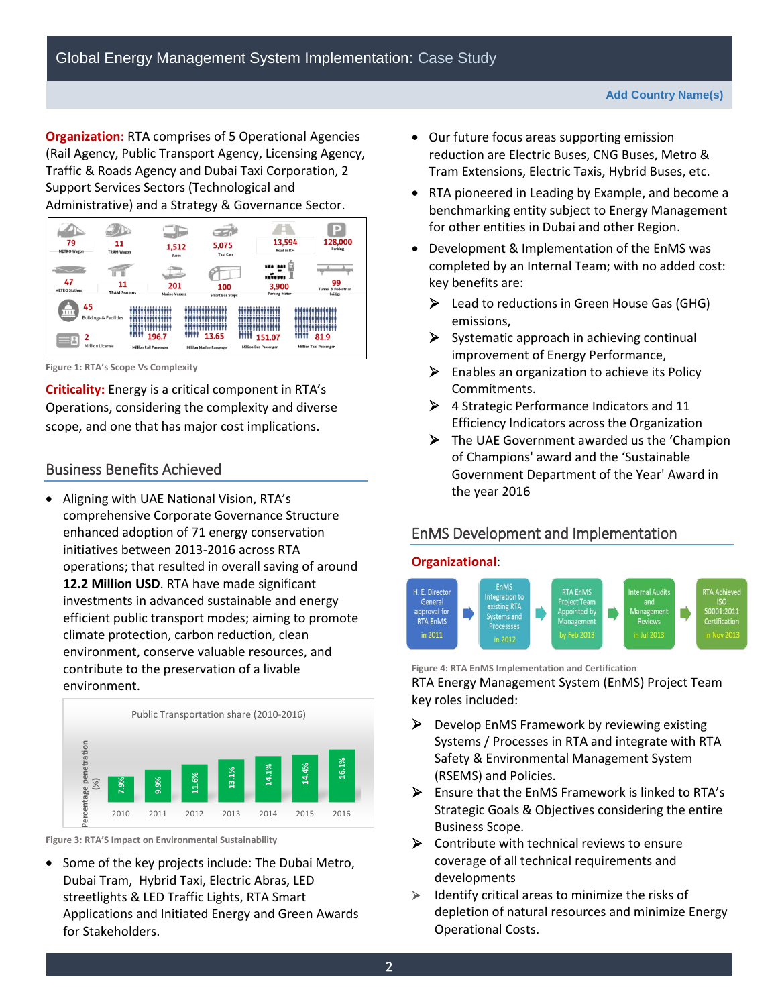**Organization:** RTA comprises of 5 Operational Agencies (Rail Agency, Public Transport Agency, Licensing Agency, Traffic & Roads Agency and Dubai Taxi Corporation, 2 Support Services Sectors (Technological and Administrative) and a Strategy & Governance Sector.

| 79<br><b>METRO Wagon</b>    | 11<br><b>TRAM Wagon</b>           | 1,512<br><b>Buses</b>         |                                 | 5,075<br><b>Taxi Cars</b>             | 13,594<br>Road in KM                         | b<br>128,000<br>Parking              |
|-----------------------------|-----------------------------------|-------------------------------|---------------------------------|---------------------------------------|----------------------------------------------|--------------------------------------|
| 47<br><b>METRO Stations</b> | 11<br><b>TRAM Stations</b>        | 201<br><b>Marine Vessels</b>  |                                 | 100                                   | <br>1222211<br>3,900<br><b>Parking Meter</b> | 99<br><b>Tunnel &amp; Pedestrian</b> |
| 45<br>111<br>2              | <b>Buildings &amp; Facilities</b> | 196.7<br>ш                    |                                 | <b>Smart Bus Stops</b><br>mm<br>13.65 | 151.07                                       | bridge<br>ш<br>шш<br>81.9            |
| å                           | Million License                   | <b>Million Rail Passenger</b> | <b>Million Marine Passenger</b> |                                       | <b>Million Bus Passenger</b>                 | <b>Million Taxi Passenger</b>        |

**Figure 1: RTA's Scope Vs Complexity**

**Criticality:** Energy is a critical component in RTA's Operations, considering the complexity and diverse scope, and one that has major cost implications.

## Business Benefits Achieved

 Aligning with UAE National Vision, RTA's comprehensive Corporate Governance Structure enhanced adoption of 71 energy conservation initiatives between 2013-2016 across RTA operations; that resulted in overall saving of around **12.2 Million USD**. RTA have made significant investments in advanced sustainable and energy efficient public transport modes; aiming to promote climate protection, carbon reduction, clean environment, conserve valuable resources, and contribute to the preservation of a livable environment.



**Figure 3: RTA'S Impact on Environmental Sustainability** 

• Some of the key projects include: The Dubai Metro, Dubai Tram, Hybrid Taxi, Electric Abras, LED streetlights & LED Traffic Lights, RTA Smart Applications and Initiated Energy and Green Awards for Stakeholders.

- Our future focus areas supporting emission reduction are Electric Buses, CNG Buses, Metro & Tram Extensions, Electric Taxis, Hybrid Buses, etc.
- RTA pioneered in Leading by Example, and become a benchmarking entity subject to Energy Management for other entities in Dubai and other Region.
- Development & Implementation of the EnMS was completed by an Internal Team; with no added cost: key benefits are:
	- $\triangleright$  Lead to reductions in Green House Gas (GHG) emissions,
	- $\triangleright$  Systematic approach in achieving continual improvement of Energy Performance,
	- $\triangleright$  Enables an organization to achieve its Policy Commitments.
	- $\triangleright$  4 Strategic Performance Indicators and 11 Efficiency Indicators across the Organization
	- The UAE Government awarded us the 'Champion of Champions' award and the 'Sustainable Government Department of the Year' Award in the year 2016

## EnMS Development and Implementation

## **Organizational**:



**Figure 4: RTA EnMS Implementation and Certification**  RTA Energy Management System (EnMS) Project Team key roles included:

- $\triangleright$  Develop EnMS Framework by reviewing existing Systems / Processes in RTA and integrate with RTA Safety & Environmental Management System (RSEMS) and Policies.
- $\triangleright$  Ensure that the EnMS Framework is linked to RTA's Strategic Goals & Objectives considering the entire Business Scope.
- $\triangleright$  Contribute with technical reviews to ensure coverage of all technical requirements and developments
- $\triangleright$  Identify critical areas to minimize the risks of depletion of natural resources and minimize Energy Operational Costs.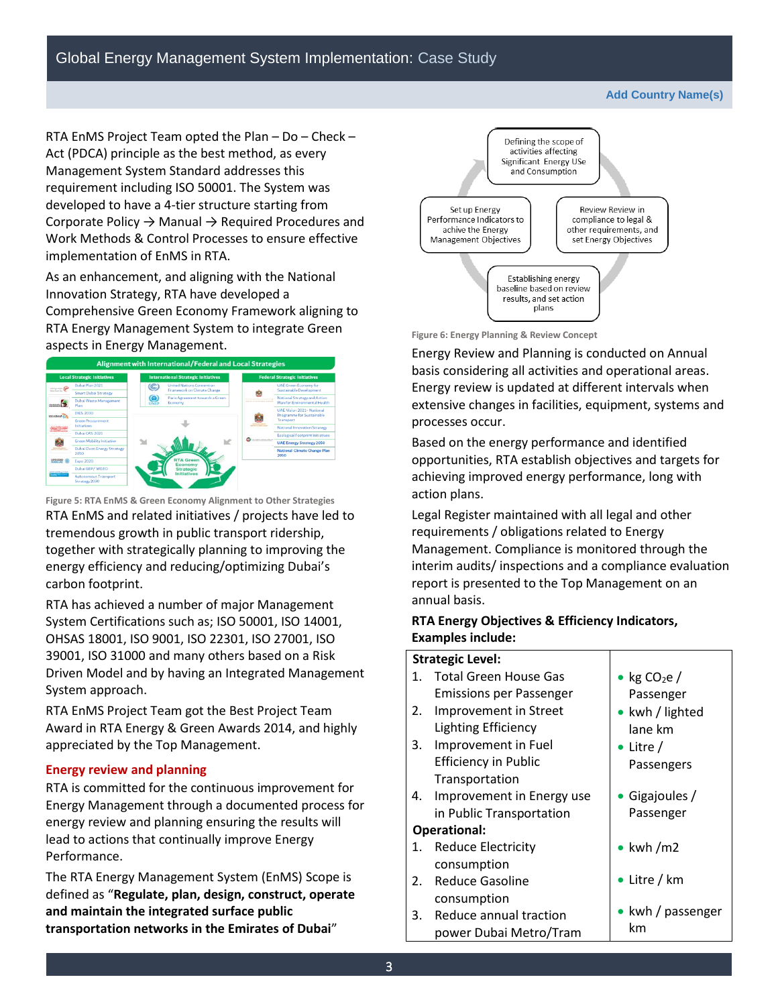**Add Country Name(s)**

RTA EnMS Project Team opted the Plan – Do – Check – Act (PDCA) principle as the best method, as every Management System Standard addresses this requirement including ISO 50001. The System was developed to have a 4-tier structure starting from Corporate Policy → Manual → Required Procedures and Work Methods & Control Processes to ensure effective implementation of EnMS in RTA.

As an enhancement, and aligning with the National Innovation Strategy, RTA have developed a Comprehensive Green Economy Framework aligning to RTA Energy Management System to integrate Green aspects in Energy Management.



**Figure 5: RTA EnMS & Green Economy Alignment to Other Strategies**  RTA EnMS and related initiatives / projects have led to tremendous growth in public transport ridership, together with strategically planning to improving the energy efficiency and reducing/optimizing Dubai's carbon footprint.

RTA has achieved a number of major Management System Certifications such as; ISO 50001, ISO 14001, OHSAS 18001, ISO 9001, ISO 22301, ISO 27001, ISO 39001, ISO 31000 and many others based on a Risk Driven Model and by having an Integrated Management System approach.

RTA EnMS Project Team got the Best Project Team Award in RTA Energy & Green Awards 2014, and highly appreciated by the Top Management.

#### **Energy review and planning**

RTA is committed for the continuous improvement for Energy Management through a documented process for energy review and planning ensuring the results will lead to actions that continually improve Energy Performance.

The RTA Energy Management System (EnMS) Scope is defined as "**Regulate, plan, design, construct, operate and maintain the integrated surface public transportation networks in the Emirates of Dubai**"



**Figure 6: Energy Planning & Review Concept** 

Energy Review and Planning is conducted on Annual basis considering all activities and operational areas. Energy review is updated at different intervals when extensive changes in facilities, equipment, systems and processes occur.

Based on the energy performance and identified opportunities, RTA establish objectives and targets for achieving improved energy performance, long with action plans.

Legal Register maintained with all legal and other requirements / obligations related to Energy Management. Compliance is monitored through the interim audits/ inspections and a compliance evaluation report is presented to the Top Management on an annual basis.

#### **RTA Energy Objectives & Efficiency Indicators, Examples include:**

#### **Strategic Level:**

| 1. | <b>Total Green House Gas</b><br>Emissions per Passenger | • kg $CO2e/$<br>Passenger |
|----|---------------------------------------------------------|---------------------------|
| 2. | Improvement in Street                                   | • kwh / lighted           |
|    | <b>Lighting Efficiency</b>                              | lane km                   |
| 3. | Improvement in Fuel                                     | • Litre /                 |
|    | <b>Efficiency in Public</b>                             | Passengers                |
|    | Transportation                                          |                           |
| 4. | Improvement in Energy use                               | • Gigajoules /            |
|    | in Public Transportation                                | Passenger                 |
|    | Operational:                                            |                           |
| 1. | <b>Reduce Electricity</b>                               | $\bullet$ kwh/m2          |
|    | consumption                                             |                           |
| 2. | <b>Reduce Gasoline</b>                                  | • Litre / $km$            |
|    | consumption                                             |                           |
| 3. | Reduce annual traction                                  | • kwh / passenger         |
|    | power Dubai Metro/Tram                                  | km                        |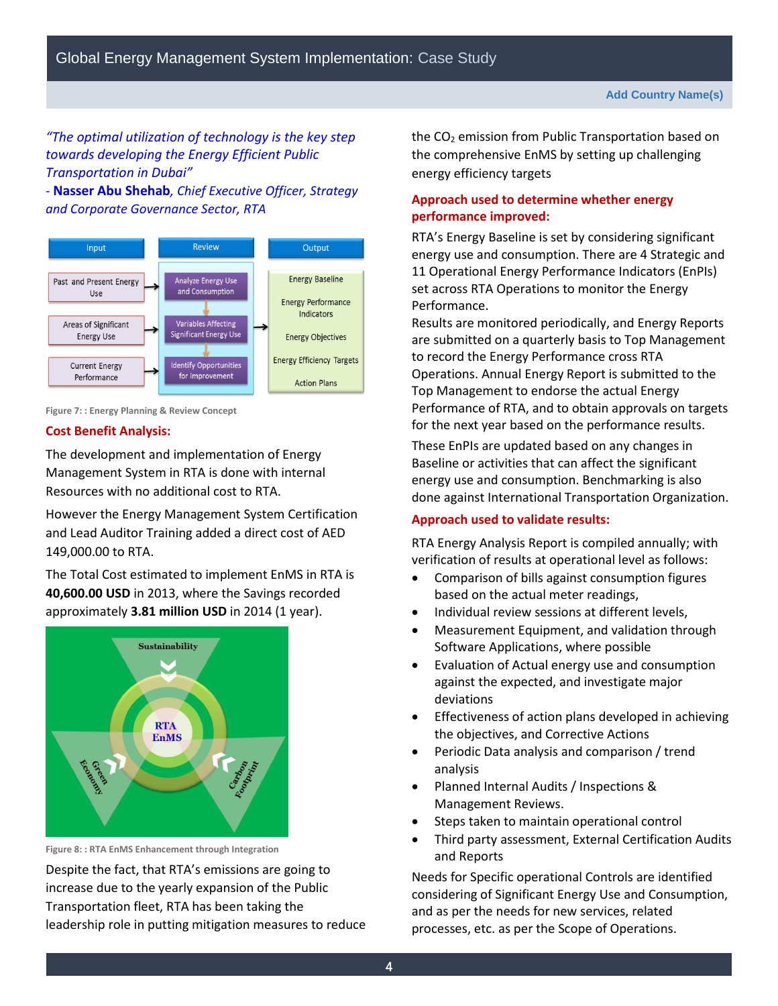## *"The optimal utilization of technology is the key step towards developing the Energy Efficient Public Transportation in Dubai"*

*-* **Nasser Abu Shehab***, Chief Executive Officer, Strategy and Corporate Governance Sector, RTA* 



**Figure 7: : Energy Planning & Review Concept** 

#### **Cost Benefit Analysis:**

The development and implementation of Energy Management System in RTA is done with internal Resources with no additional cost to RTA.

However the Energy Management System Certification and Lead Auditor Training added a direct cost of AED 149,000.00 to RTA.

The Total Cost estimated to implement EnMS in RTA is **40,600.00 USD** in 2013, where the Savings recorded approximately **3.81 million USD** in 2014 (1 year).



**Figure 8: : RTA EnMS Enhancement through Integration** 

Despite the fact, that RTA's emissions are going to increase due to the yearly expansion of the Public Transportation fleet, RTA has been taking the leadership role in putting mitigation measures to reduce the  $CO<sub>2</sub>$  emission from Public Transportation based on the comprehensive EnMS by setting up challenging energy efficiency targets

## **Approach used to determine whether energy performance improved:**

RTA's Energy Baseline is set by considering significant energy use and consumption. There are 4 Strategic and 11 Operational Energy Performance Indicators (EnPIs) set across RTA Operations to monitor the Energy Performance.

Results are monitored periodically, and Energy Reports are submitted on a quarterly basis to Top Management to record the Energy Performance cross RTA Operations. Annual Energy Report is submitted to the Top Management to endorse the actual Energy Performance of RTA, and to obtain approvals on targets for the next year based on the performance results.

These EnPIs are updated based on any changes in Baseline or activities that can affect the significant energy use and consumption. Benchmarking is also done against International Transportation Organization.

#### **Approach used to validate results:**

RTA Energy Analysis Report is compiled annually; with verification of results at operational level as follows:

- Comparison of bills against consumption figures based on the actual meter readings,
- Individual review sessions at different levels,
- Measurement Equipment, and validation through Software Applications, where possible
- Evaluation of Actual energy use and consumption against the expected, and investigate major deviations
- Effectiveness of action plans developed in achieving the objectives, and Corrective Actions
- Periodic Data analysis and comparison / trend analysis
- Planned Internal Audits / Inspections & Management Reviews.
- Steps taken to maintain operational control
- Third party assessment, External Certification Audits and Reports

Needs for Specific operational Controls are identified considering of Significant Energy Use and Consumption, and as per the needs for new services, related processes, etc. as per the Scope of Operations.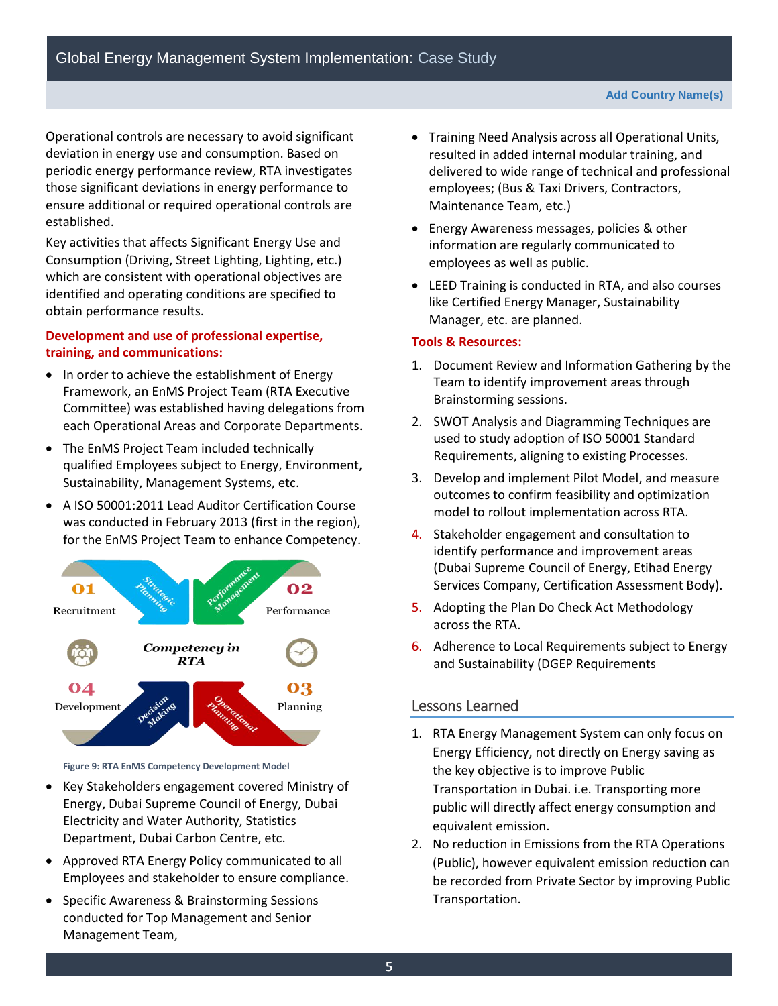Operational controls are necessary to avoid significant deviation in energy use and consumption. Based on periodic energy performance review, RTA investigates those significant deviations in energy performance to ensure additional or required operational controls are established.

Key activities that affects Significant Energy Use and Consumption (Driving, Street Lighting, Lighting, etc.) which are consistent with operational objectives are identified and operating conditions are specified to obtain performance results.

#### **Development and use of professional expertise, training, and communications:**

- In order to achieve the establishment of Energy Framework, an EnMS Project Team (RTA Executive Committee) was established having delegations from each Operational Areas and Corporate Departments.
- The EnMS Project Team included technically qualified Employees subject to Energy, Environment, Sustainability, Management Systems, etc.
- A ISO 50001:2011 Lead Auditor Certification Course was conducted in February 2013 (first in the region), for the EnMS Project Team to enhance Competency.



**Figure 9: RTA EnMS Competency Development Model**

- Key Stakeholders engagement covered Ministry of Energy, Dubai Supreme Council of Energy, Dubai Electricity and Water Authority, Statistics Department, Dubai Carbon Centre, etc.
- Approved RTA Energy Policy communicated to all Employees and stakeholder to ensure compliance.
- Specific Awareness & Brainstorming Sessions conducted for Top Management and Senior Management Team,
- Training Need Analysis across all Operational Units, resulted in added internal modular training, and delivered to wide range of technical and professional employees; (Bus & Taxi Drivers, Contractors, Maintenance Team, etc.)
- Energy Awareness messages, policies & other information are regularly communicated to employees as well as public.
- LEED Training is conducted in RTA, and also courses like Certified Energy Manager, Sustainability Manager, etc. are planned.

#### **Tools & Resources:**

- 1. Document Review and Information Gathering by the Team to identify improvement areas through Brainstorming sessions.
- 2. SWOT Analysis and Diagramming Techniques are used to study adoption of ISO 50001 Standard Requirements, aligning to existing Processes.
- 3. Develop and implement Pilot Model, and measure outcomes to confirm feasibility and optimization model to rollout implementation across RTA.
- 4. Stakeholder engagement and consultation to identify performance and improvement areas (Dubai Supreme Council of Energy, Etihad Energy Services Company, Certification Assessment Body).
- 5. Adopting the Plan Do Check Act Methodology across the RTA.
- 6. Adherence to Local Requirements subject to Energy and Sustainability (DGEP Requirements

## Lessons Learned

- 1. RTA Energy Management System can only focus on Energy Efficiency, not directly on Energy saving as the key objective is to improve Public Transportation in Dubai. i.e. Transporting more public will directly affect energy consumption and equivalent emission.
- 2. No reduction in Emissions from the RTA Operations (Public), however equivalent emission reduction can be recorded from Private Sector by improving Public Transportation.